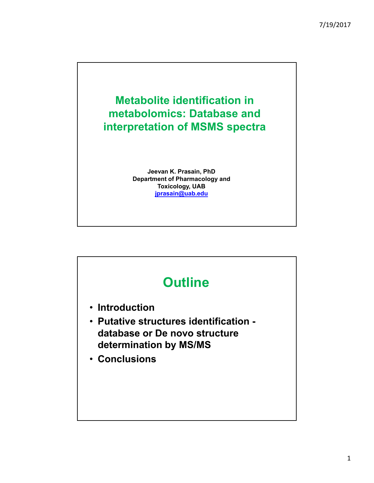

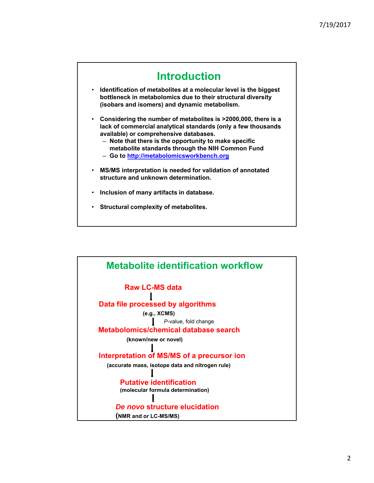

• **Structural complexity of metabolites.**

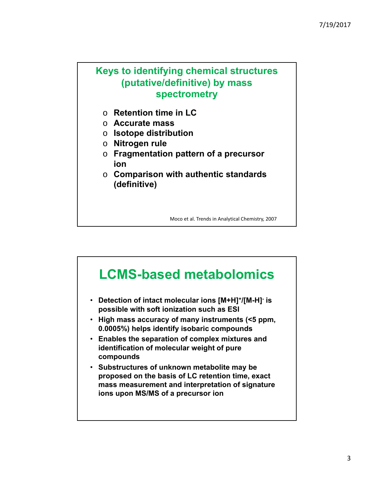## **Keys to identifying chemical structures (putative/definitive) by mass spectrometry**

- o **Retention time in LC**
- o **Accurate mass**
- o **Isotope distribution**
- o **Nitrogen rule**
- o **Fragmentation pattern of a precursor ion**
- o **Comparison with authentic standards (definitive)**

Moco et al. Trends in Analytical Chemistry, 2007

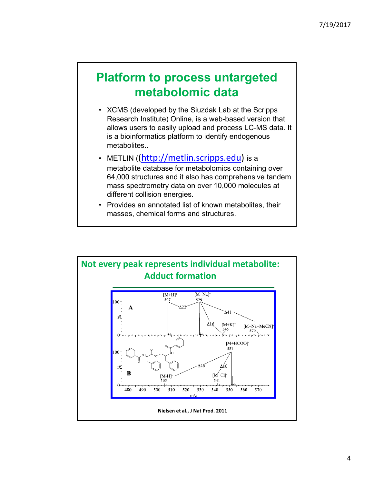## **Platform to process untargeted metabolomic data**

- XCMS (developed by the Siuzdak Lab at the Scripps Research Institute) Online, is a web-based version that allows users to easily upload and process LC-MS data. It is a bioinformatics platform to identify endogenous metabolites..
- METLIN ((http://metlin.scripps.edu) is a metabolite database for metabolomics containing over 64,000 structures and it also has comprehensive tandem mass spectrometry data on over 10,000 molecules at different collision energies.
- Provides an annotated list of known metabolites, their masses, chemical forms and structures.

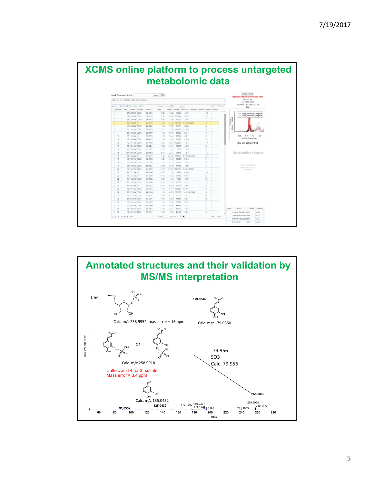| <b>Undock Results</b><br>Quick Compound Search:<br>Search Clear<br>Please click on a row to view feature details<br>Feature #6<br>JORE1051373 : CRUBBS URINE ARC MINCHG<br>$m/z$ : 259.0049<br>Retention Time (min): 11.23.<br>View 1 - 100 of 2 011<br>p b P Columns @ Show isstopic peaks<br>$=$ $P400$<br>of 27 so so 100 ·<br>EIC.<br>manued<br>rimed<br><b>Inchopen</b><br>adducts peakers swernste<br><b>Busharold</b><br>fold<br>puzhat szulown<br>maxint<br>Clansbury, Flaggallath,<br>19.29<br>100<br>2.1.2.49267a DOWN<br>254.1884<br>1,828<br>31,233<br>14,954<br>٠<br>Grubbs UniverSinup1 NepMode<br>Grubbs Universityup2 NegMode<br>100<br>s<br>19.31<br>2.4.4.12906e DOWN<br>48,052<br>263.1653<br>6,450<br>118,348<br>$\pi$<br>$\overline{a}$<br>2.9.1.23683e DOML<br>3,754<br>245.1714<br>19.55<br>1.029<br>11013<br>ß<br>42<br>1.0 KAMADA UP<br>299.0049<br>11.23<br>47.645<br>157,958<br>107.692.02950<br>12.55<br>T<br>1.6 E 13983e DOMK<br>458.1997<br>3.657<br>31.121<br>19,195<br>5<br>1.6:1 DELEGA DOWN<br>×<br>2011533<br>15.72<br>13,553<br>105, 674<br>122,306<br>$\frac{1}{2}$<br>$\mathbb{R}$<br>25 119250e DOME<br>11.98<br>58,693<br>23.544<br>$\pm 2$<br>209 0479<br>9.315<br>11.0<br>10<br>10.5<br>17.1.2185a UP<br>260.0074<br>11.33<br>5344<br>27.029<br>33<br>45.321<br>Ratention Time (minutes)<br>11<br>27 1 Salaze DOWN<br>343,1817<br>13.29<br>21.835<br>8,035<br>ь<br>1,403<br>12<br>7.0.3.49735e DOM/<br>214.1426<br>15.99<br>4,937<br>103,291<br>14,953<br>106<br>Box-and-Whisker Plot<br>13<br><b>ST</b><br>28/5 381556 DOMN<br>495,4401<br>15.95<br>2,451<br>13.010<br>4,685<br>14<br>3.1 5.489356 DOM:<br>222.5727<br>14.25<br>1.031<br>5.630<br>1,829<br>×<br>Not a significant feature.<br>15<br>19.7 B 46515e DOM/<br>4.045<br>112<br>363 1442<br>20.74<br>12,214<br>79.545<br>2-5.7.05382x1cP<br>121 560 ITALIBO-<br>10.<br>357,0017<br>5.56<br>64,606<br>153,545<br>168<br>17<br>17<br>1.8 7.90761e DOME<br>307.1733<br>14.01<br>3.047<br>38,707<br>22.113<br>15<br>1.5 B SBAZIE DOWN<br>12.56<br>SKAAD:<br>23,745<br>202,0736<br>4.470<br>×<br>Say parternated and<br>19<br>76<br>5.6 9.67267e DOM/<br>248.1261<br>19.52<br>6.452<br>44,193<br>7,890<br>statistics tidi for more<br>22<br>15<br>1.9 9.93395e COMN<br>13.74<br>139,227<br>253.0369<br>563,804 (798)6<br>1,081,319<br>information<br>21<br>42 1.07136e UP<br>1.834<br>15,140<br>119<br>342,0106<br>18.78<br>3,852 |     |  |  |  |  |
|------------------------------------------------------------------------------------------------------------------------------------------------------------------------------------------------------------------------------------------------------------------------------------------------------------------------------------------------------------------------------------------------------------------------------------------------------------------------------------------------------------------------------------------------------------------------------------------------------------------------------------------------------------------------------------------------------------------------------------------------------------------------------------------------------------------------------------------------------------------------------------------------------------------------------------------------------------------------------------------------------------------------------------------------------------------------------------------------------------------------------------------------------------------------------------------------------------------------------------------------------------------------------------------------------------------------------------------------------------------------------------------------------------------------------------------------------------------------------------------------------------------------------------------------------------------------------------------------------------------------------------------------------------------------------------------------------------------------------------------------------------------------------------------------------------------------------------------------------------------------------------------------------------------------------------------------------------------------------------------------------------------------------------------------------------------------------------------------------------------------------------------------------------------------------------------------------------------------------------------------------------------------------------------------------------------------------------------------------------------------------------------------------------------------------------|-----|--|--|--|--|
|                                                                                                                                                                                                                                                                                                                                                                                                                                                                                                                                                                                                                                                                                                                                                                                                                                                                                                                                                                                                                                                                                                                                                                                                                                                                                                                                                                                                                                                                                                                                                                                                                                                                                                                                                                                                                                                                                                                                                                                                                                                                                                                                                                                                                                                                                                                                                                                                                                    |     |  |  |  |  |
|                                                                                                                                                                                                                                                                                                                                                                                                                                                                                                                                                                                                                                                                                                                                                                                                                                                                                                                                                                                                                                                                                                                                                                                                                                                                                                                                                                                                                                                                                                                                                                                                                                                                                                                                                                                                                                                                                                                                                                                                                                                                                                                                                                                                                                                                                                                                                                                                                                    |     |  |  |  |  |
|                                                                                                                                                                                                                                                                                                                                                                                                                                                                                                                                                                                                                                                                                                                                                                                                                                                                                                                                                                                                                                                                                                                                                                                                                                                                                                                                                                                                                                                                                                                                                                                                                                                                                                                                                                                                                                                                                                                                                                                                                                                                                                                                                                                                                                                                                                                                                                                                                                    |     |  |  |  |  |
|                                                                                                                                                                                                                                                                                                                                                                                                                                                                                                                                                                                                                                                                                                                                                                                                                                                                                                                                                                                                                                                                                                                                                                                                                                                                                                                                                                                                                                                                                                                                                                                                                                                                                                                                                                                                                                                                                                                                                                                                                                                                                                                                                                                                                                                                                                                                                                                                                                    |     |  |  |  |  |
|                                                                                                                                                                                                                                                                                                                                                                                                                                                                                                                                                                                                                                                                                                                                                                                                                                                                                                                                                                                                                                                                                                                                                                                                                                                                                                                                                                                                                                                                                                                                                                                                                                                                                                                                                                                                                                                                                                                                                                                                                                                                                                                                                                                                                                                                                                                                                                                                                                    |     |  |  |  |  |
|                                                                                                                                                                                                                                                                                                                                                                                                                                                                                                                                                                                                                                                                                                                                                                                                                                                                                                                                                                                                                                                                                                                                                                                                                                                                                                                                                                                                                                                                                                                                                                                                                                                                                                                                                                                                                                                                                                                                                                                                                                                                                                                                                                                                                                                                                                                                                                                                                                    |     |  |  |  |  |
|                                                                                                                                                                                                                                                                                                                                                                                                                                                                                                                                                                                                                                                                                                                                                                                                                                                                                                                                                                                                                                                                                                                                                                                                                                                                                                                                                                                                                                                                                                                                                                                                                                                                                                                                                                                                                                                                                                                                                                                                                                                                                                                                                                                                                                                                                                                                                                                                                                    |     |  |  |  |  |
|                                                                                                                                                                                                                                                                                                                                                                                                                                                                                                                                                                                                                                                                                                                                                                                                                                                                                                                                                                                                                                                                                                                                                                                                                                                                                                                                                                                                                                                                                                                                                                                                                                                                                                                                                                                                                                                                                                                                                                                                                                                                                                                                                                                                                                                                                                                                                                                                                                    |     |  |  |  |  |
|                                                                                                                                                                                                                                                                                                                                                                                                                                                                                                                                                                                                                                                                                                                                                                                                                                                                                                                                                                                                                                                                                                                                                                                                                                                                                                                                                                                                                                                                                                                                                                                                                                                                                                                                                                                                                                                                                                                                                                                                                                                                                                                                                                                                                                                                                                                                                                                                                                    |     |  |  |  |  |
|                                                                                                                                                                                                                                                                                                                                                                                                                                                                                                                                                                                                                                                                                                                                                                                                                                                                                                                                                                                                                                                                                                                                                                                                                                                                                                                                                                                                                                                                                                                                                                                                                                                                                                                                                                                                                                                                                                                                                                                                                                                                                                                                                                                                                                                                                                                                                                                                                                    |     |  |  |  |  |
|                                                                                                                                                                                                                                                                                                                                                                                                                                                                                                                                                                                                                                                                                                                                                                                                                                                                                                                                                                                                                                                                                                                                                                                                                                                                                                                                                                                                                                                                                                                                                                                                                                                                                                                                                                                                                                                                                                                                                                                                                                                                                                                                                                                                                                                                                                                                                                                                                                    |     |  |  |  |  |
|                                                                                                                                                                                                                                                                                                                                                                                                                                                                                                                                                                                                                                                                                                                                                                                                                                                                                                                                                                                                                                                                                                                                                                                                                                                                                                                                                                                                                                                                                                                                                                                                                                                                                                                                                                                                                                                                                                                                                                                                                                                                                                                                                                                                                                                                                                                                                                                                                                    |     |  |  |  |  |
|                                                                                                                                                                                                                                                                                                                                                                                                                                                                                                                                                                                                                                                                                                                                                                                                                                                                                                                                                                                                                                                                                                                                                                                                                                                                                                                                                                                                                                                                                                                                                                                                                                                                                                                                                                                                                                                                                                                                                                                                                                                                                                                                                                                                                                                                                                                                                                                                                                    |     |  |  |  |  |
|                                                                                                                                                                                                                                                                                                                                                                                                                                                                                                                                                                                                                                                                                                                                                                                                                                                                                                                                                                                                                                                                                                                                                                                                                                                                                                                                                                                                                                                                                                                                                                                                                                                                                                                                                                                                                                                                                                                                                                                                                                                                                                                                                                                                                                                                                                                                                                                                                                    |     |  |  |  |  |
|                                                                                                                                                                                                                                                                                                                                                                                                                                                                                                                                                                                                                                                                                                                                                                                                                                                                                                                                                                                                                                                                                                                                                                                                                                                                                                                                                                                                                                                                                                                                                                                                                                                                                                                                                                                                                                                                                                                                                                                                                                                                                                                                                                                                                                                                                                                                                                                                                                    |     |  |  |  |  |
|                                                                                                                                                                                                                                                                                                                                                                                                                                                                                                                                                                                                                                                                                                                                                                                                                                                                                                                                                                                                                                                                                                                                                                                                                                                                                                                                                                                                                                                                                                                                                                                                                                                                                                                                                                                                                                                                                                                                                                                                                                                                                                                                                                                                                                                                                                                                                                                                                                    |     |  |  |  |  |
|                                                                                                                                                                                                                                                                                                                                                                                                                                                                                                                                                                                                                                                                                                                                                                                                                                                                                                                                                                                                                                                                                                                                                                                                                                                                                                                                                                                                                                                                                                                                                                                                                                                                                                                                                                                                                                                                                                                                                                                                                                                                                                                                                                                                                                                                                                                                                                                                                                    |     |  |  |  |  |
|                                                                                                                                                                                                                                                                                                                                                                                                                                                                                                                                                                                                                                                                                                                                                                                                                                                                                                                                                                                                                                                                                                                                                                                                                                                                                                                                                                                                                                                                                                                                                                                                                                                                                                                                                                                                                                                                                                                                                                                                                                                                                                                                                                                                                                                                                                                                                                                                                                    |     |  |  |  |  |
|                                                                                                                                                                                                                                                                                                                                                                                                                                                                                                                                                                                                                                                                                                                                                                                                                                                                                                                                                                                                                                                                                                                                                                                                                                                                                                                                                                                                                                                                                                                                                                                                                                                                                                                                                                                                                                                                                                                                                                                                                                                                                                                                                                                                                                                                                                                                                                                                                                    |     |  |  |  |  |
|                                                                                                                                                                                                                                                                                                                                                                                                                                                                                                                                                                                                                                                                                                                                                                                                                                                                                                                                                                                                                                                                                                                                                                                                                                                                                                                                                                                                                                                                                                                                                                                                                                                                                                                                                                                                                                                                                                                                                                                                                                                                                                                                                                                                                                                                                                                                                                                                                                    |     |  |  |  |  |
|                                                                                                                                                                                                                                                                                                                                                                                                                                                                                                                                                                                                                                                                                                                                                                                                                                                                                                                                                                                                                                                                                                                                                                                                                                                                                                                                                                                                                                                                                                                                                                                                                                                                                                                                                                                                                                                                                                                                                                                                                                                                                                                                                                                                                                                                                                                                                                                                                                    |     |  |  |  |  |
|                                                                                                                                                                                                                                                                                                                                                                                                                                                                                                                                                                                                                                                                                                                                                                                                                                                                                                                                                                                                                                                                                                                                                                                                                                                                                                                                                                                                                                                                                                                                                                                                                                                                                                                                                                                                                                                                                                                                                                                                                                                                                                                                                                                                                                                                                                                                                                                                                                    |     |  |  |  |  |
|                                                                                                                                                                                                                                                                                                                                                                                                                                                                                                                                                                                                                                                                                                                                                                                                                                                                                                                                                                                                                                                                                                                                                                                                                                                                                                                                                                                                                                                                                                                                                                                                                                                                                                                                                                                                                                                                                                                                                                                                                                                                                                                                                                                                                                                                                                                                                                                                                                    |     |  |  |  |  |
| 22<br>18/12/4224 UF<br>10.72<br>17, 932<br>37.502<br>08.907<br>40<br>263 0230                                                                                                                                                                                                                                                                                                                                                                                                                                                                                                                                                                                                                                                                                                                                                                                                                                                                                                                                                                                                                                                                                                                                                                                                                                                                                                                                                                                                                                                                                                                                                                                                                                                                                                                                                                                                                                                                                                                                                                                                                                                                                                                                                                                                                                                                                                                                                      |     |  |  |  |  |
| 1T<br>24<br>2,762<br>2.5.1.50578e DOWN<br>587,3766<br>19.95<br>554<br>7.036                                                                                                                                                                                                                                                                                                                                                                                                                                                                                                                                                                                                                                                                                                                                                                                                                                                                                                                                                                                                                                                                                                                                                                                                                                                                                                                                                                                                                                                                                                                                                                                                                                                                                                                                                                                                                                                                                                                                                                                                                                                                                                                                                                                                                                                                                                                                                        |     |  |  |  |  |
| 25<br>17.1.1.53239e DOMN<br>1572<br>67.120<br>5.623<br>129<br>226.1600<br>20:56                                                                                                                                                                                                                                                                                                                                                                                                                                                                                                                                                                                                                                                                                                                                                                                                                                                                                                                                                                                                                                                                                                                                                                                                                                                                                                                                                                                                                                                                                                                                                                                                                                                                                                                                                                                                                                                                                                                                                                                                                                                                                                                                                                                                                                                                                                                                                    |     |  |  |  |  |
| 27<br>17 215436e UP<br>48<br>263.0063<br>10.74<br>5.892<br>21.778<br>57,391                                                                                                                                                                                                                                                                                                                                                                                                                                                                                                                                                                                                                                                                                                                                                                                                                                                                                                                                                                                                                                                                                                                                                                                                                                                                                                                                                                                                                                                                                                                                                                                                                                                                                                                                                                                                                                                                                                                                                                                                                                                                                                                                                                                                                                                                                                                                                        |     |  |  |  |  |
| $^{16}$<br>16 2 16376e DOWN<br>334.1315<br>14.67<br>5.011<br>163,657<br>101,718<br>m                                                                                                                                                                                                                                                                                                                                                                                                                                                                                                                                                                                                                                                                                                                                                                                                                                                                                                                                                                                                                                                                                                                                                                                                                                                                                                                                                                                                                                                                                                                                                                                                                                                                                                                                                                                                                                                                                                                                                                                                                                                                                                                                                                                                                                                                                                                                               |     |  |  |  |  |
| 29<br>u<br>5.5 2.17057a DOMN<br>443.1640<br>11.60<br>0.675<br>103,105<br>18.813.1212BAI-                                                                                                                                                                                                                                                                                                                                                                                                                                                                                                                                                                                                                                                                                                                                                                                                                                                                                                                                                                                                                                                                                                                                                                                                                                                                                                                                                                                                                                                                                                                                                                                                                                                                                                                                                                                                                                                                                                                                                                                                                                                                                                                                                                                                                                                                                                                                           |     |  |  |  |  |
| 31<br>18/274152e.DOMs<br>263.1134<br>6.372<br>77,274<br>$-100$<br>9.95<br>41.811                                                                                                                                                                                                                                                                                                                                                                                                                                                                                                                                                                                                                                                                                                                                                                                                                                                                                                                                                                                                                                                                                                                                                                                                                                                                                                                                                                                                                                                                                                                                                                                                                                                                                                                                                                                                                                                                                                                                                                                                                                                                                                                                                                                                                                                                                                                                                   |     |  |  |  |  |
| 32<br>2.1.2.762514 DOMK<br>1219<br>19,955<br>0.331<br>21<br>635,2995<br>15.91                                                                                                                                                                                                                                                                                                                                                                                                                                                                                                                                                                                                                                                                                                                                                                                                                                                                                                                                                                                                                                                                                                                                                                                                                                                                                                                                                                                                                                                                                                                                                                                                                                                                                                                                                                                                                                                                                                                                                                                                                                                                                                                                                                                                                                                                                                                                                      |     |  |  |  |  |
| 34.<br>18.3315444 DOM<br>354,1576<br>42,566<br>1154<br>5,380<br>67.925<br>16 3 84745e DOMN<br>354 1500<br>14.19<br>4.907<br>49,765<br>31812                                                                                                                                                                                                                                                                                                                                                                                                                                                                                                                                                                                                                                                                                                                                                                                                                                                                                                                                                                                                                                                                                                                                                                                                                                                                                                                                                                                                                                                                                                                                                                                                                                                                                                                                                                                                                                                                                                                                                                                                                                                                                                                                                                                                                                                                                        |     |  |  |  |  |
| 36<br>38<br>AAAuct COMPOS<br>1.4 4 02290e DOWN<br>238,0789<br>11.92<br>4,531<br>57,571<br>45,874<br>LCS<br>PPM<br>Nama                                                                                                                                                                                                                                                                                                                                                                                                                                                                                                                                                                                                                                                                                                                                                                                                                                                                                                                                                                                                                                                                                                                                                                                                                                                                                                                                                                                                                                                                                                                                                                                                                                                                                                                                                                                                                                                                                                                                                                                                                                                                                                                                                                                                                                                                                                             | ist |  |  |  |  |
| 39<br>1.8 4.65166e DOM:<br>542,1421<br>6.35<br>4.873<br>20,432<br>11,081<br>и<br>S-Methyl-5-thip-D-rib M-H                                                                                                                                                                                                                                                                                                                                                                                                                                                                                                                                                                                                                                                                                                                                                                                                                                                                                                                                                                                                                                                                                                                                                                                                                                                                                                                                                                                                                                                                                                                                                                                                                                                                                                                                                                                                                                                                                                                                                                                                                                                                                                                                                                                                                                                                                                                         | 13  |  |  |  |  |

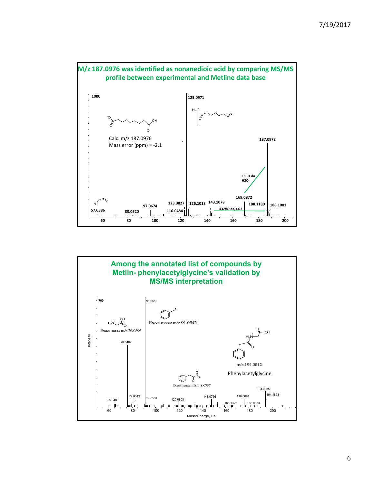



6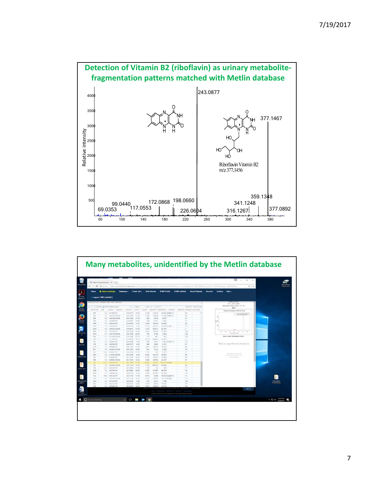



7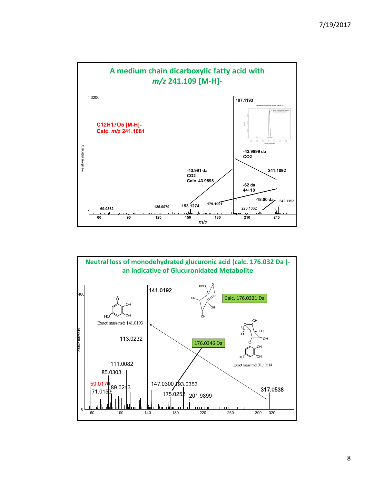

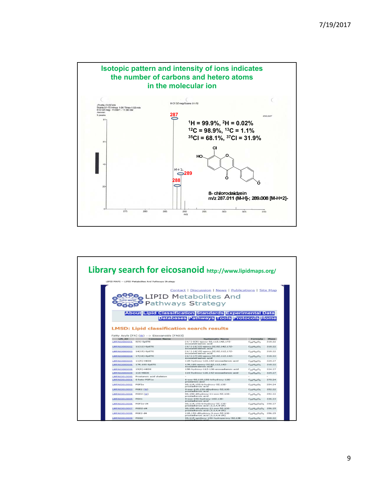

|                       | LIPID MAPS -- LIPID Metabolites And Pathways Strategy | Contact   Discussion   News   Publications   Site Map<br><b>LIPID Metabolites And</b><br>Pathways Strategy<br><b>About Lipid Classification Standards Experimental Data</b><br><b>Databases Pathways Tools Protocols Home</b><br><b>LMSD: Lipid classification search results</b> |                                                                      |                       |
|-----------------------|-------------------------------------------------------|-----------------------------------------------------------------------------------------------------------------------------------------------------------------------------------------------------------------------------------------------------------------------------------|----------------------------------------------------------------------|-----------------------|
|                       |                                                       |                                                                                                                                                                                                                                                                                   |                                                                      |                       |
|                       |                                                       |                                                                                                                                                                                                                                                                                   |                                                                      |                       |
|                       |                                                       |                                                                                                                                                                                                                                                                                   |                                                                      |                       |
|                       |                                                       |                                                                                                                                                                                                                                                                                   |                                                                      |                       |
|                       |                                                       |                                                                                                                                                                                                                                                                                   |                                                                      |                       |
|                       |                                                       |                                                                                                                                                                                                                                                                                   |                                                                      |                       |
|                       |                                                       |                                                                                                                                                                                                                                                                                   |                                                                      |                       |
|                       |                                                       |                                                                                                                                                                                                                                                                                   |                                                                      |                       |
|                       |                                                       |                                                                                                                                                                                                                                                                                   |                                                                      |                       |
|                       |                                                       |                                                                                                                                                                                                                                                                                   |                                                                      |                       |
|                       |                                                       |                                                                                                                                                                                                                                                                                   |                                                                      |                       |
|                       |                                                       |                                                                                                                                                                                                                                                                                   |                                                                      |                       |
|                       |                                                       |                                                                                                                                                                                                                                                                                   |                                                                      |                       |
|                       |                                                       |                                                                                                                                                                                                                                                                                   |                                                                      |                       |
|                       |                                                       |                                                                                                                                                                                                                                                                                   |                                                                      |                       |
|                       |                                                       |                                                                                                                                                                                                                                                                                   |                                                                      |                       |
|                       | Fatty Acyls [FA] (W) --> Eicosanoids [FA03]           |                                                                                                                                                                                                                                                                                   |                                                                      |                       |
|                       |                                                       |                                                                                                                                                                                                                                                                                   |                                                                      |                       |
| LM ID<br>LMFA03000001 | <b>Common Name</b><br>$8(9)$ -EpETE                   | <b>Systematic Name</b><br>(+/-)-8(9)-epoxy-5Z,11Z,14Z,17Z-                                                                                                                                                                                                                        | Formula<br>$C_{20}H_{30}O_3$                                         | <b>Mass</b><br>318.22 |
|                       |                                                       | eicosatetraenoic acid                                                                                                                                                                                                                                                             |                                                                      |                       |
| LMFA03000002          | $11(12)$ -EpETE                                       | $(+/-)-11(12)-epoxy-5Z,0Z,14Z,17Z-$<br>eicosatetraenoic acid                                                                                                                                                                                                                      | $C_{20}H_{30}O_3$                                                    | 318.22                |
| LMFA03000003          | $14(15)$ -EpETE                                       | $(+/-)-14(15)-epoxy-5Z,0Z,11Z,17Z-$                                                                                                                                                                                                                                               | $Co0H0O3$                                                            | 318.22                |
|                       | LMFA03000004 17(18)-EpETE                             | eicosatetraenoic acid<br>(+/-)-17(18)-epoxy-5Z,8Z,11Z,14Z-                                                                                                                                                                                                                        | $C_{20}H_{30}O_3$                                                    | 318,22                |
|                       |                                                       | eicosatetraenoic acid                                                                                                                                                                                                                                                             |                                                                      |                       |
| LMFA03000005          | $11(R)$ -HEDE                                         | 11R-hydroxy-12E,14Z-eicosadienoic acid                                                                                                                                                                                                                                            | $C_{20}H_{36}O_3$                                                    | 324.27                |
| <b>LMFA03000006</b>   | 17R.18S-EpETE                                         | 17R.18S-epoxy-5Z.8Z.11Z.14Z-<br>eicosatetraenoic acid                                                                                                                                                                                                                             | $C_{20}H_{30}O_3$                                                    | 310.22                |
| <b>LMFA03000008</b>   | $15(R)$ -HEDE                                         | 15R-hydroxy-11Z-13E-eicosadienoic acid                                                                                                                                                                                                                                            | $C_{20}H_{36}O_3$                                                    | 324.27                |
| LMFA03000009          | 11S-HEDE                                              | 115-hydroxy-12E,14Z-eicosadienoic acid                                                                                                                                                                                                                                            | $C_{20}H_{26}O_3$                                                    | 324.27                |
| LMFA03010000          | Prostanoic acid skeleton                              |                                                                                                                                                                                                                                                                                   |                                                                      |                       |
| LMFA03010001          | 6-kato-PGF1a                                          | 6-oxo-9S,11R,15S-trihydroxy-13E-<br>prostenoic acid                                                                                                                                                                                                                               | $C_{20}H_{34}O_6$                                                    | 370.24                |
| LMFA03010002          | PGF2a                                                 | 9S.11R.15S-trihydroxy-5Z.13E-<br>prostadienoic acid                                                                                                                                                                                                                               | $C_{20}H_{34}O_5$                                                    | 354.24                |
|                       | PGE2 (W)                                              | 9-oxo-11R,15S-dihydroxy-5Z,13E-                                                                                                                                                                                                                                                   | $CoeffH0CO5$                                                         | 352.22                |
| LMFA03010003          |                                                       | prostadienoic acid                                                                                                                                                                                                                                                                |                                                                      |                       |
|                       |                                                       |                                                                                                                                                                                                                                                                                   |                                                                      |                       |
| LMFA03010004          | PGD2 (W)                                              | 9S.15S-dihydroxy-11-oxo-5Z.13E-<br>prostadienoic acid                                                                                                                                                                                                                             | $C_{20}H_{32}O_5$                                                    | 352.22                |
| LMFA03010005          | <b>PGA1</b>                                           | 9-oxo-155-hydroxy-10Z,13E-<br>prostadienoic acid                                                                                                                                                                                                                                  | $C_{20}H_{32}O_4$                                                    |                       |
| LMFA03010006          | $PGF2a-d4$                                            | 95.11R.155-trihydroxy-5Z.13E-                                                                                                                                                                                                                                                     | C <sub>20</sub> H <sub>30</sub> D <sub>4</sub> O <sub>5</sub> 358.27 | 336.23                |
| LMFA03010007 PGD2-d4  |                                                       | prostadienoic acid (3,3,4,4-d4)<br>95,155-dihydroxy-11-oxo-52,13E-                                                                                                                                                                                                                | $C_{20}H_{20}D_4O_5$ 356.25                                          |                       |
| LMFA03010008          | <b>PGE2-d4</b>                                        | prostadienoic acid (3,3,4,4-d4)<br>11R.15S-dihydroxy-9-oxo-5Z.13E-<br>prostadienoic acid (3,3,4,4-d4)                                                                                                                                                                             | $C_{20}H_{20}D_4O_5$ 356.25                                          |                       |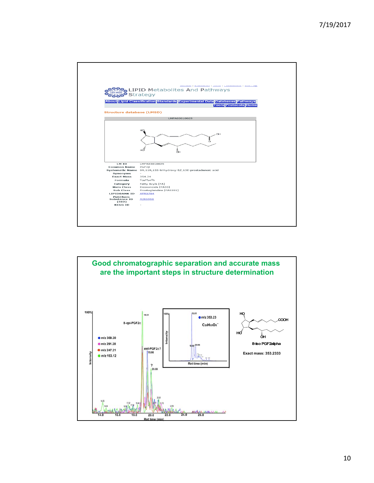

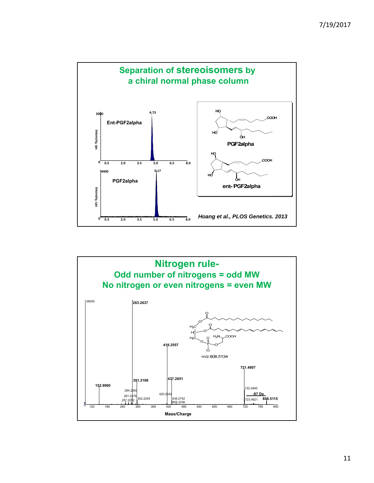

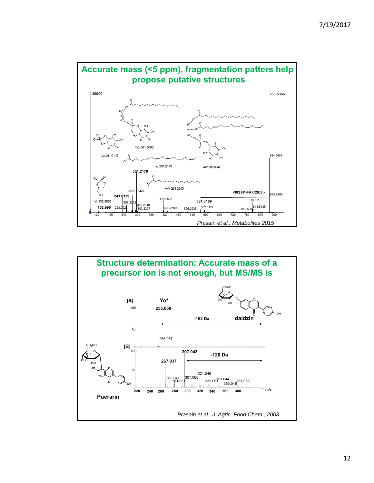